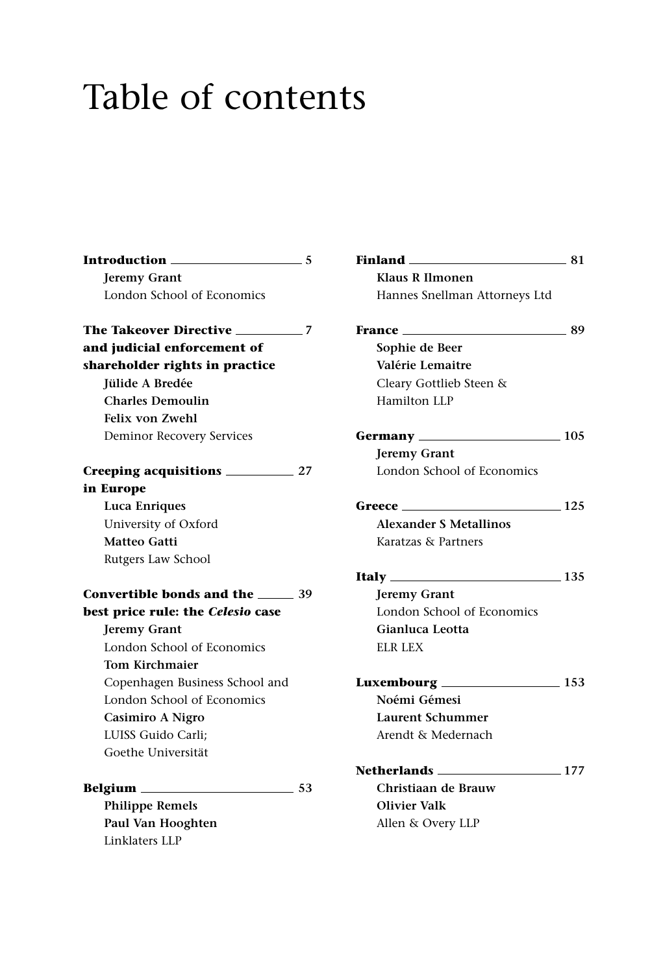## Table of contents

| Introduction<br>$\sim$ 5            |      |
|-------------------------------------|------|
| <b>Jeremy Grant</b>                 |      |
| London School of Economics          |      |
|                                     |      |
| and judicial enforcement of         |      |
| shareholder rights in practice      |      |
| <b>Tülide A Bredée</b>              |      |
| <b>Charles Demoulin</b>             |      |
| <b>Felix von Zwehl</b>              |      |
| <b>Deminor Recovery Services</b>    |      |
|                                     |      |
| in Europe                           |      |
| Luca Enriques                       |      |
| University of Oxford                |      |
| Matteo Gatti                        |      |
| Rutgers Law School                  |      |
| Convertible bonds and the ______ 39 |      |
| best price rule: the Celesio case   |      |
| <b>Jeremy Grant</b>                 |      |
| London School of Economics          |      |
| <b>Tom Kirchmaier</b>               |      |
| Copenhagen Business School and      |      |
| London School of Economics          |      |
| Casimiro A Nigro                    |      |
| LUISS Guido Carli;                  |      |
| Goethe Universität                  |      |
| Belgium                             | - 53 |
| <b>Philippe Remels</b>              |      |
| Paul Van Hooghten                   |      |

Linklaters LLP

| Hannes Snellman Attorneys Ltd       |        |
|-------------------------------------|--------|
| <b>France ______________</b>        | ___ 89 |
| Sophie de Beer                      |        |
| Valérie Lemaitre                    |        |
| Cleary Gottlieb Steen &             |        |
| Hamilton LLP                        |        |
| <b>Germany</b> ____________________ | 105    |
| <b>Jeremy Grant</b>                 |        |
| London School of Economics          |        |
| $\sim$ 125<br>Greece                |        |
| <b>Alexander S Metallinos</b>       |        |
| Karatzas & Partners                 |        |
|                                     |        |
| <b>Jeremy Grant</b>                 |        |
| London School of Economics          |        |
| Gianluca Leotta                     |        |
| <b>ELR LEX</b>                      |        |
| Luxembourg ___________________ 153  |        |
| Noémi Gémesi                        |        |
| <b>Laurent Schummer</b>             |        |
| Arendt & Medernach                  |        |
| <b>Netherlands</b> 2008 2017        |        |
| Christiaan de Brauw                 |        |
| <b>Olivier Valk</b>                 |        |
| Allen & Overy LLP                   |        |
|                                     |        |

**Finland** 2008 2014

**Klaus R Ilmonen**